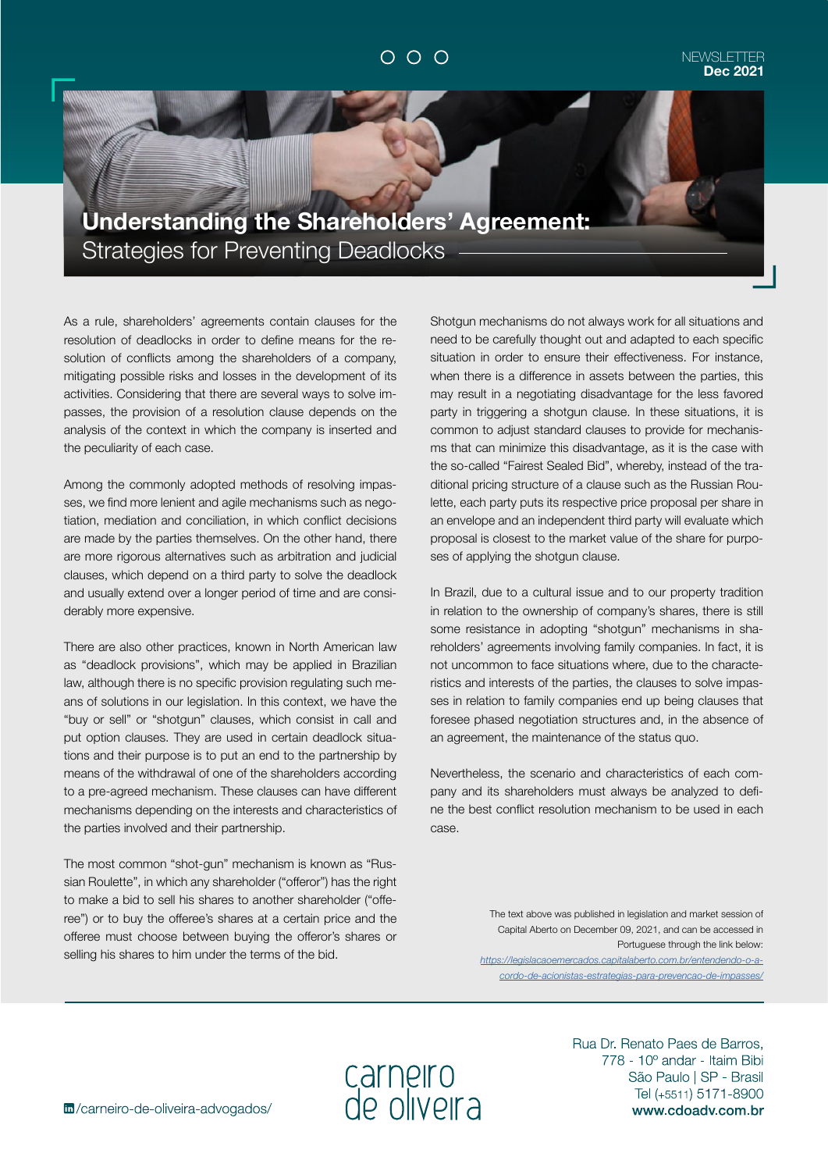## $O$   $O$   $O$

## NEWSLETTER **Dec 2021**

**Understanding the Shareholders' Agreement:**  Strategies for Preventing Deadlocks

As a rule, shareholders' agreements contain clauses for the resolution of deadlocks in order to define means for the resolution of conflicts among the shareholders of a company, mitigating possible risks and losses in the development of its activities. Considering that there are several ways to solve impasses, the provision of a resolution clause depends on the analysis of the context in which the company is inserted and the peculiarity of each case.

Among the commonly adopted methods of resolving impasses, we find more lenient and agile mechanisms such as negotiation, mediation and conciliation, in which conflict decisions are made by the parties themselves. On the other hand, there are more rigorous alternatives such as arbitration and judicial clauses, which depend on a third party to solve the deadlock and usually extend over a longer period of time and are considerably more expensive.

There are also other practices, known in North American law as "deadlock provisions", which may be applied in Brazilian law, although there is no specific provision regulating such means of solutions in our legislation. In this context, we have the "buy or sell" or "shotgun" clauses, which consist in call and put option clauses. They are used in certain deadlock situations and their purpose is to put an end to the partnership by means of the withdrawal of one of the shareholders according to a pre-agreed mechanism. These clauses can have different mechanisms depending on the interests and characteristics of the parties involved and their partnership.

The most common "shot-gun" mechanism is known as "Russian Roulette", in which any shareholder ("offeror") has the right to make a bid to sell his shares to another shareholder ("offeree") or to buy the offeree's shares at a certain price and the offeree must choose between buying the offeror's shares or selling his shares to him under the terms of the bid.

Shotgun mechanisms do not always work for all situations and need to be carefully thought out and adapted to each specific situation in order to ensure their effectiveness. For instance, when there is a difference in assets between the parties, this may result in a negotiating disadvantage for the less favored party in triggering a shotgun clause. In these situations, it is common to adjust standard clauses to provide for mechanisms that can minimize this disadvantage, as it is the case with the so-called "Fairest Sealed Bid", whereby, instead of the traditional pricing structure of a clause such as the Russian Roulette, each party puts its respective price proposal per share in an envelope and an independent third party will evaluate which proposal is closest to the market value of the share for purposes of applying the shotgun clause.

In Brazil, due to a cultural issue and to our property tradition in relation to the ownership of company's shares, there is still some resistance in adopting "shotgun" mechanisms in shareholders' agreements involving family companies. In fact, it is not uncommon to face situations where, due to the characteristics and interests of the parties, the clauses to solve impasses in relation to family companies end up being clauses that foresee phased negotiation structures and, in the absence of an agreement, the maintenance of the status quo.

Nevertheless, the scenario and characteristics of each company and its shareholders must always be analyzed to define the best conflict resolution mechanism to be used in each case.

> The text above was published in legislation and market session of Capital Aberto on December 09, 2021, and can be accessed in Portuguese through the link below: *[https://legislacaoemercados.capitalaberto.com.br/entendendo-o-a](https://legislacaoemercados.capitalaberto.com.br/entendendo-o-acordo-de-acionistas-estrategias-para-prevencao-de-impasses/)[cordo-de-acionistas-estrategias-para-prevencao-de-impasses/](https://legislacaoemercados.capitalaberto.com.br/entendendo-o-acordo-de-acionistas-estrategias-para-prevencao-de-impasses/)*

carneiro<br>de oliveira

m/carneiro-de-oliveira-advogados/

Rua Dr. Renato Paes de Barros. 778 - 10° andar - Itaim Bibi São Paulo | SP - Brasil Tel (+5511) 5171-8900 www.cdoadv.com.br